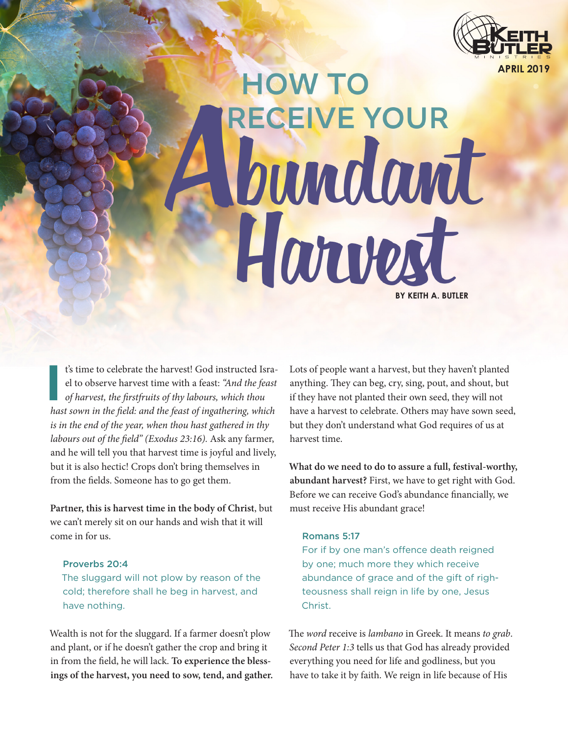

**HOW TO** RECEIVE YOUR Voundant Horvest **BY KEITH A. BUTLER**

**I**<br>**I** t's time to celebrate the harvest! God instructed Israel to observe harvest time with a feast: *"And the feast of harvest, the firstfruits of thy labours, which thou hast sown in the field: and the feast of ingathering, which is in the end of the year, when thou hast gathered in thy labours out of the field" (Exodus 23:16).* Ask any farmer, and he will tell you that harvest time is joyful and lively, but it is also hectic! Crops don't bring themselves in from the fields. Someone has to go get them.

**Partner, this is harvest time in the body of Christ**, but we can't merely sit on our hands and wish that it will come in for us.

## Proverbs 20:4

The sluggard will not plow by reason of the cold; therefore shall he beg in harvest, and have nothing.

Wealth is not for the sluggard. If a farmer doesn't plow and plant, or if he doesn't gather the crop and bring it in from the field, he will lack. **To experience the blessings of the harvest, you need to sow, tend, and gather.**  Lots of people want a harvest, but they haven't planted anything. They can beg, cry, sing, pout, and shout, but if they have not planted their own seed, they will not have a harvest to celebrate. Others may have sown seed, but they don't understand what God requires of us at harvest time.

**What do we need to do to assure a full, festival-worthy, abundant harvest?** First, we have to get right with God. Before we can receive God's abundance financially, we must receive His abundant grace!

#### Romans 5:17

For if by one man's offence death reigned by one; much more they which receive abundance of grace and of the gift of righteousness shall reign in life by one, Jesus Christ.

The *word* receive is *lambano* in Greek. It means *to grab*. *Second Peter 1:3* tells us that God has already provided everything you need for life and godliness, but you have to take it by faith. We reign in life because of His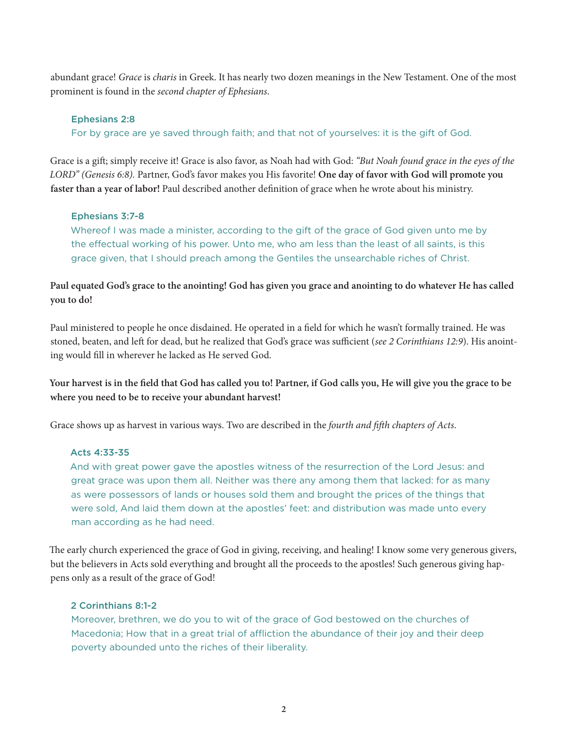abundant grace! *Grace* is *charis* in Greek. It has nearly two dozen meanings in the New Testament. One of the most prominent is found in the *second chapter of Ephesians*.

#### Ephesians 2:8

For by grace are ye saved through faith; and that not of yourselves: it is the gift of God.

Grace is a gift; simply receive it! Grace is also favor, as Noah had with God: *"But Noah found grace in the eyes of the LORD" (Genesis 6:8).* Partner, God's favor makes you His favorite! **One day of favor with God will promote you faster than a year of labor!** Paul described another definition of grace when he wrote about his ministry.

## Ephesians 3:7-8

Whereof I was made a minister, according to the gift of the grace of God given unto me by the effectual working of his power. Unto me, who am less than the least of all saints, is this grace given, that I should preach among the Gentiles the unsearchable riches of Christ.

**Paul equated God's grace to the anointing! God has given you grace and anointing to do whatever He has called you to do!**

Paul ministered to people he once disdained. He operated in a field for which he wasn't formally trained. He was stoned, beaten, and left for dead, but he realized that God's grace was sufficient (*see 2 Corinthians 12:9*). His anointing would fill in wherever he lacked as He served God.

**Your harvest is in the field that God has called you to! Partner, if God calls you, He will give you the grace to be where you need to be to receive your abundant harvest!**

Grace shows up as harvest in various ways. Two are described in the *fourth and fifth chapters of Acts*.

## Acts 4:33-35

And with great power gave the apostles witness of the resurrection of the Lord Jesus: and great grace was upon them all. Neither was there any among them that lacked: for as many as were possessors of lands or houses sold them and brought the prices of the things that were sold, And laid them down at the apostles' feet: and distribution was made unto every man according as he had need.

The early church experienced the grace of God in giving, receiving, and healing! I know some very generous givers, but the believers in Acts sold everything and brought all the proceeds to the apostles! Such generous giving happens only as a result of the grace of God!

## 2 Corinthians 8:1-2

Moreover, brethren, we do you to wit of the grace of God bestowed on the churches of Macedonia; How that in a great trial of affliction the abundance of their joy and their deep poverty abounded unto the riches of their liberality.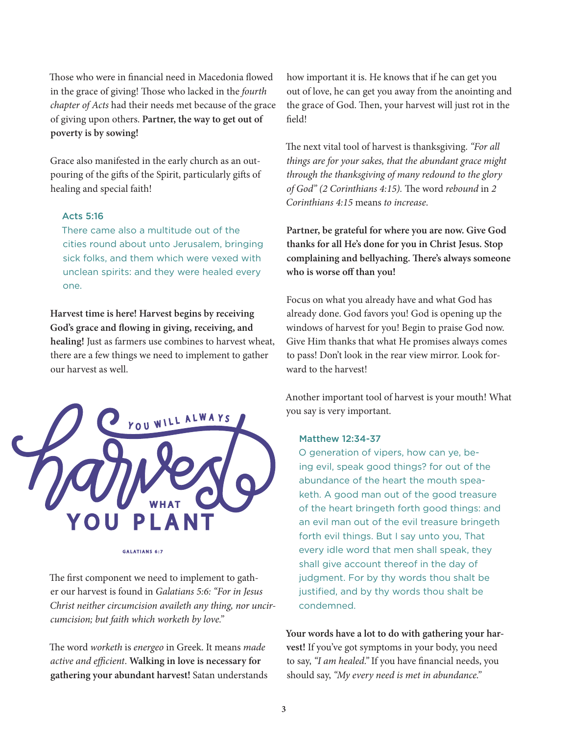Those who were in financial need in Macedonia flowed in the grace of giving! Those who lacked in the *fourth chapter of Acts* had their needs met because of the grace of giving upon others. **Partner, the way to get out of poverty is by sowing!**

Grace also manifested in the early church as an outpouring of the gifts of the Spirit, particularly gifts of healing and special faith!

# Acts 5:16

There came also a multitude out of the cities round about unto Jerusalem, bringing sick folks, and them which were vexed with unclean spirits: and they were healed every one.

**Harvest time is here! Harvest begins by receiving God's grace and flowing in giving, receiving, and healing!** Just as farmers use combines to harvest wheat, there are a few things we need to implement to gather our harvest as well.



**GALATIANS 6:7** 

The first component we need to implement to gather our harvest is found in *Galatians 5:6: "For in Jesus Christ neither circumcision availeth any thing, nor uncircumcision; but faith which worketh by love."*

The word *worketh* is *energeo* in Greek. It means *made active and efficient*. **Walking in love is necessary for gathering your abundant harvest!** Satan understands how important it is. He knows that if he can get you out of love, he can get you away from the anointing and the grace of God. Then, your harvest will just rot in the field!

The next vital tool of harvest is thanksgiving. *"For all things are for your sakes, that the abundant grace might through the thanksgiving of many redound to the glory of God" (2 Corinthians 4:15).* The word *rebound* in *2 Corinthians 4:15* means *to increase*.

**Partner, be grateful for where you are now. Give God thanks for all He's done for you in Christ Jesus. Stop complaining and bellyaching. There's always someone who is worse off than you!** 

Focus on what you already have and what God has already done. God favors you! God is opening up the windows of harvest for you! Begin to praise God now. Give Him thanks that what He promises always comes to pass! Don't look in the rear view mirror. Look forward to the harvest!

Another important tool of harvest is your mouth! What you say is very important.

#### Matthew 12:34-37

O generation of vipers, how can ye, being evil, speak good things? for out of the abundance of the heart the mouth speaketh. A good man out of the good treasure of the heart bringeth forth good things: and an evil man out of the evil treasure bringeth forth evil things. But I say unto you, That every idle word that men shall speak, they shall give account thereof in the day of judgment. For by thy words thou shalt be justified, and by thy words thou shalt be condemned.

**Your words have a lot to do with gathering your harvest!** If you've got symptoms in your body, you need to say, *"I am healed."* If you have financial needs, you should say, *"My every need is met in abundance."*